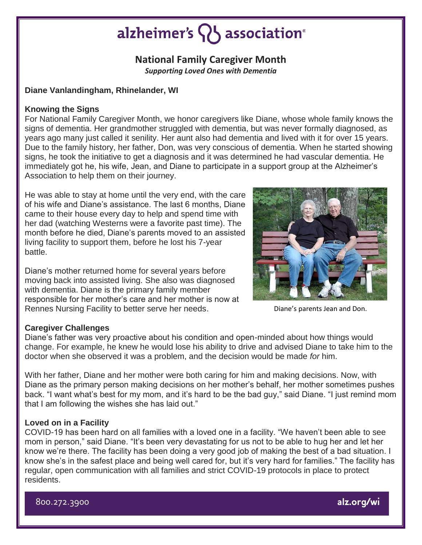# alzheimer's  $\{ \}$  association<sup>®</sup>

## **National Family Caregiver Month**

*Supporting Loved Ones with Dementia*

### **Diane Vanlandingham, Rhinelander, WI**

### **Knowing the Signs**

For National Family Caregiver Month, we honor caregivers like Diane, whose whole family knows the signs of dementia. Her grandmother struggled with dementia, but was never formally diagnosed, as years ago many just called it senility. Her aunt also had dementia and lived with it for over 15 years. Due to the family history, her father, Don, was very conscious of dementia. When he started showing signs, he took the initiative to get a diagnosis and it was determined he had vascular dementia. He immediately got he, his wife, Jean, and Diane to participate in a support group at the Alzheimer's Association to help them on their journey.

He was able to stay at home until the very end, with the care of his wife and Diane's assistance. The last 6 months, Diane came to their house every day to help and spend time with her dad (watching Westerns were a favorite past time). The month before he died, Diane's parents moved to an assisted living facility to support them, before he lost his 7-year battle.

Diane's mother returned home for several years before moving back into assisted living. She also was diagnosed with dementia. Diane is the primary family member responsible for her mother's care and her mother is now at Rennes Nursing Facility to better serve her needs.



Diane's parents Jean and Don.

#### **Caregiver Challenges**

Diane's father was very proactive about his condition and open-minded about how things would change. For example, he knew he would lose his ability to drive and advised Diane to take him to the doctor when she observed it was a problem, and the decision would be made *for* him.

With her father, Diane and her mother were both caring for him and making decisions. Now, with Diane as the primary person making decisions on her mother's behalf, her mother sometimes pushes back. "I want what's best for my mom, and it's hard to be the bad guy," said Diane. "I just remind mom that I am following the wishes she has laid out."

#### **Loved on in a Facility**

COVID-19 has been hard on all families with a loved one in a facility. "We haven't been able to see mom in person," said Diane. "It's been very devastating for us not to be able to hug her and let her know we're there. The facility has been doing a very good job of making the best of a bad situation. I know she's in the safest place and being well cared for, but it's very hard for families." The facility has regular, open communication with all families and strict COVID-19 protocols in place to protect residents.

800.272.3900